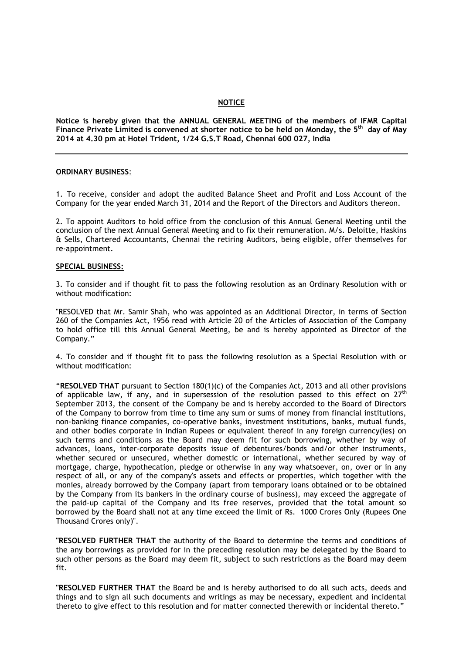#### **NOTICE**

**Notice is hereby given that the ANNUAL GENERAL MEETING of the members of IFMR Capital Finance Private Limited is convened at shorter notice to be held on Monday, the 5 th day of May 2014 at 4.30 pm at Hotel Trident, 1/24 G.S.T Road, Chennai 600 027, India**

#### **ORDINARY BUSINESS**:

1. To receive, consider and adopt the audited Balance Sheet and Profit and Loss Account of the Company for the year ended March 31, 2014 and the Report of the Directors and Auditors thereon.

2. To appoint Auditors to hold office from the conclusion of this Annual General Meeting until the conclusion of the next Annual General Meeting and to fix their remuneration. M/s. Deloitte, Haskins & Sells, Chartered Accountants, Chennai the retiring Auditors, being eligible, offer themselves for re-appointment.

#### **SPECIAL BUSINESS:**

3. To consider and if thought fit to pass the following resolution as an Ordinary Resolution with or without modification:

"RESOLVED that Mr. Samir Shah, who was appointed as an Additional Director, in terms of Section 260 of the Companies Act, 1956 read with Article 20 of the Articles of Association of the Company to hold office till this Annual General Meeting, be and is hereby appointed as Director of the Company."

4. To consider and if thought fit to pass the following resolution as a Special Resolution with or without modification:

"**RESOLVED THAT** pursuant to Section 180(1)(c) of the Companies Act, 2013 and all other provisions of applicable law, if any, and in supersession of the resolution passed to this effect on  $27<sup>th</sup>$ September 2013, the consent of the Company be and is hereby accorded to the Board of Directors of the Company to borrow from time to time any sum or sums of money from financial institutions, non-banking finance companies, co-operative banks, investment institutions, banks, mutual funds, and other bodies corporate in Indian Rupees or equivalent thereof in any foreign currency(ies) on such terms and conditions as the Board may deem fit for such borrowing, whether by way of advances, loans, inter-corporate deposits issue of debentures/bonds and/or other instruments, whether secured or unsecured, whether domestic or international, whether secured by way of mortgage, charge, hypothecation, pledge or otherwise in any way whatsoever, on, over or in any respect of all, or any of the company's assets and effects or properties, which together with the monies, already borrowed by the Company (apart from temporary loans obtained or to be obtained by the Company from its bankers in the ordinary course of business), may exceed the aggregate of the paid-up capital of the Company and its free reserves, provided that the total amount so borrowed by the Board shall not at any time exceed the limit of Rs. 1000 Crores Only (Rupees One Thousand Crores only)".

**"RESOLVED FURTHER THAT** the authority of the Board to determine the terms and conditions of the any borrowings as provided for in the preceding resolution may be delegated by the Board to such other persons as the Board may deem fit, subject to such restrictions as the Board may deem fit.

**"RESOLVED FURTHER THAT** the Board be and is hereby authorised to do all such acts, deeds and things and to sign all such documents and writings as may be necessary, expedient and incidental thereto to give effect to this resolution and for matter connected therewith or incidental thereto."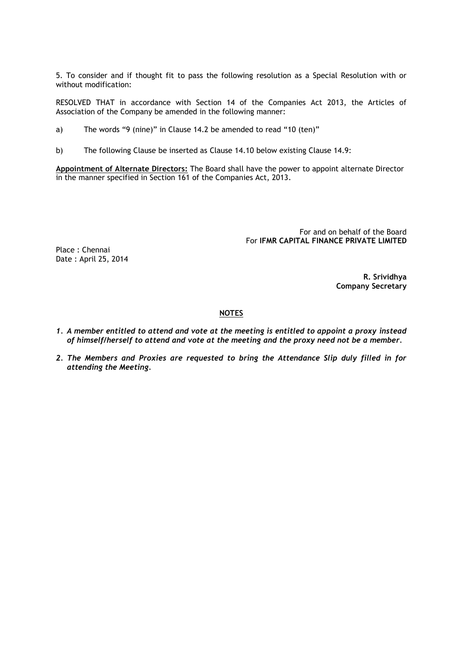5. To consider and if thought fit to pass the following resolution as a Special Resolution with or without modification:

RESOLVED THAT in accordance with Section 14 of the Companies Act 2013, the Articles of Association of the Company be amended in the following manner:

- a) The words "9 (nine)" in Clause 14.2 be amended to read "10 (ten)"
- b) The following Clause be inserted as Clause 14.10 below existing Clause 14.9:

**Appointment of Alternate Directors:** The Board shall have the power to appoint alternate Director in the manner specified in Section 161 of the Companies Act, 2013.

> For and on behalf of the Board For **IFMR CAPITAL FINANCE PRIVATE LIMITED**

Place : Chennai Date : April 25, 2014

> **R. Srividhya Company Secretary**

### **NOTES**

- *1. A member entitled to attend and vote at the meeting is entitled to appoint a proxy instead of himself/herself to attend and vote at the meeting and the proxy need not be a member.*
- *2. The Members and Proxies are requested to bring the Attendance Slip duly filled in for attending the Meeting.*